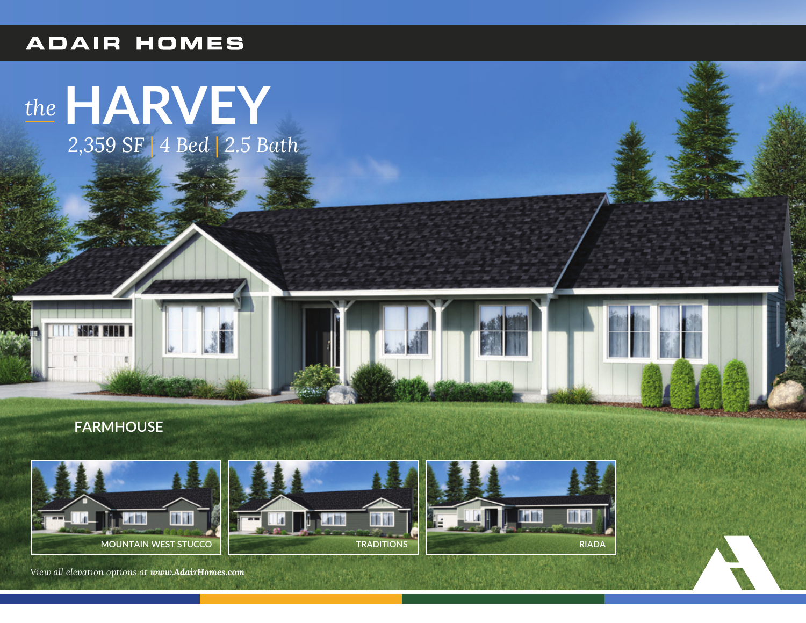## **ADAIR HOMES**

## the HARVEY

2,359 SF | 4 Bed | 2.5 Bath

**FARMHOUSE** 



View all elevation options at www.AdairHomes.com





**TRADITIONS**